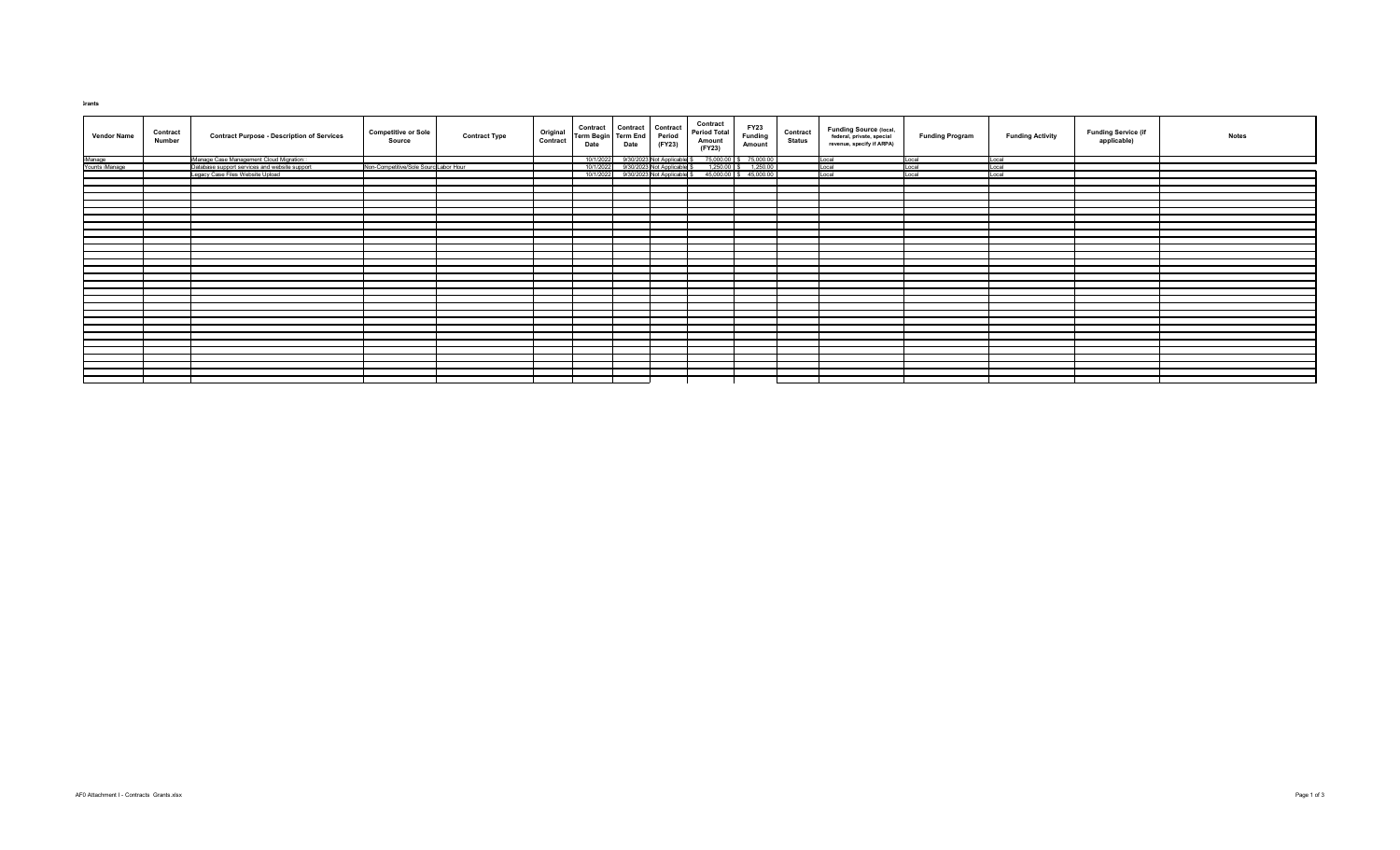## **Grants**

| <b>Vendor Name</b>        | <b>Contract</b><br><b>Number</b> | <b>Contract Purpose - Description of Services</b> | <b>Competitive or Sole</b><br><b>Source</b> | <b>Contract Type</b> | <b>Original</b><br>Contract | Term Begin Term End<br><b>Date</b> | Contract Contract Contract<br>Term Begin Term End Period<br><b>Date</b> | (FY23) | <b>Contract</b><br><b>Period Total</b><br>Amount<br>(FY23)                                                                                             | FY23<br>Funding<br><b>Amount</b> | <b>Contract</b><br><b>Status</b> | <b>Funding Source (local,</b><br>federal, private, special<br>revenue, specify if ARPA) | <b>Funding Program</b> | <b>Funding Activity</b> | <b>Funding Service (if</b><br>applicable) | <b>Notes</b> |
|---------------------------|----------------------------------|---------------------------------------------------|---------------------------------------------|----------------------|-----------------------------|------------------------------------|-------------------------------------------------------------------------|--------|--------------------------------------------------------------------------------------------------------------------------------------------------------|----------------------------------|----------------------------------|-----------------------------------------------------------------------------------------|------------------------|-------------------------|-------------------------------------------|--------------|
|                           |                                  | iManage Case Management Cloud Migration□          |                                             |                      |                             | 10/1/2022                          |                                                                         |        | 9/30/2023 Not Applicable \$75,000.00 \$75,000.00<br>9/30/2023 Not Applicable \$1,250.00 \$1,250.00<br>9/30/2023 Not Applicable \$45,000.00 \$45,000.00 |                                  |                                  | Local                                                                                   | Local                  | Local                   |                                           |              |
| iManage<br>Younts iManage |                                  | Database support services and website support     | Non-Competitive/Sole Sourc Labor Hour       |                      |                             | 10/1/2022                          |                                                                         |        |                                                                                                                                                        |                                  |                                  | Local                                                                                   | Local                  | Local                   |                                           |              |
|                           |                                  | Legacy Case Files Website Upload                  |                                             |                      |                             | 10/1/2022                          |                                                                         |        |                                                                                                                                                        |                                  |                                  | Local                                                                                   | Local                  | Local                   |                                           |              |
|                           |                                  |                                                   |                                             |                      |                             |                                    |                                                                         |        |                                                                                                                                                        |                                  |                                  |                                                                                         |                        |                         |                                           |              |
|                           |                                  |                                                   |                                             |                      |                             |                                    |                                                                         |        |                                                                                                                                                        |                                  |                                  |                                                                                         |                        |                         |                                           |              |
|                           |                                  |                                                   |                                             |                      |                             |                                    |                                                                         |        |                                                                                                                                                        |                                  |                                  |                                                                                         |                        |                         |                                           |              |
|                           |                                  |                                                   |                                             |                      |                             |                                    |                                                                         |        |                                                                                                                                                        |                                  |                                  |                                                                                         |                        |                         |                                           |              |
|                           |                                  |                                                   |                                             |                      |                             |                                    |                                                                         |        |                                                                                                                                                        |                                  |                                  |                                                                                         |                        |                         |                                           |              |
|                           |                                  |                                                   |                                             |                      |                             |                                    |                                                                         |        |                                                                                                                                                        |                                  |                                  |                                                                                         |                        |                         |                                           |              |
|                           |                                  |                                                   |                                             |                      |                             |                                    |                                                                         |        |                                                                                                                                                        |                                  |                                  |                                                                                         |                        |                         |                                           |              |
|                           |                                  |                                                   |                                             |                      |                             |                                    |                                                                         |        |                                                                                                                                                        |                                  |                                  |                                                                                         |                        |                         |                                           |              |
|                           |                                  |                                                   |                                             |                      |                             |                                    |                                                                         |        |                                                                                                                                                        |                                  |                                  |                                                                                         |                        |                         |                                           |              |
|                           |                                  |                                                   |                                             |                      |                             |                                    |                                                                         |        |                                                                                                                                                        |                                  |                                  |                                                                                         |                        |                         |                                           |              |
|                           |                                  |                                                   |                                             |                      |                             |                                    |                                                                         |        |                                                                                                                                                        |                                  |                                  |                                                                                         |                        |                         |                                           |              |
|                           |                                  |                                                   |                                             |                      |                             |                                    |                                                                         |        |                                                                                                                                                        |                                  |                                  |                                                                                         |                        |                         |                                           |              |
|                           |                                  |                                                   |                                             |                      |                             |                                    |                                                                         |        |                                                                                                                                                        |                                  |                                  |                                                                                         |                        |                         |                                           |              |
|                           |                                  |                                                   |                                             |                      |                             |                                    |                                                                         |        |                                                                                                                                                        |                                  |                                  |                                                                                         |                        |                         |                                           |              |
|                           |                                  |                                                   |                                             |                      |                             |                                    |                                                                         |        |                                                                                                                                                        |                                  |                                  |                                                                                         |                        |                         |                                           |              |
|                           |                                  |                                                   |                                             |                      |                             |                                    |                                                                         |        |                                                                                                                                                        |                                  |                                  |                                                                                         |                        |                         |                                           |              |
|                           |                                  |                                                   |                                             |                      |                             |                                    |                                                                         |        |                                                                                                                                                        |                                  |                                  |                                                                                         |                        |                         |                                           |              |
|                           |                                  |                                                   |                                             |                      |                             |                                    |                                                                         |        |                                                                                                                                                        |                                  |                                  |                                                                                         |                        |                         |                                           |              |
|                           |                                  |                                                   |                                             |                      |                             |                                    |                                                                         |        |                                                                                                                                                        |                                  |                                  |                                                                                         |                        |                         |                                           |              |
|                           |                                  |                                                   |                                             |                      |                             |                                    |                                                                         |        |                                                                                                                                                        |                                  |                                  |                                                                                         |                        |                         |                                           |              |
|                           |                                  |                                                   |                                             |                      |                             |                                    |                                                                         |        |                                                                                                                                                        |                                  |                                  |                                                                                         |                        |                         |                                           |              |
|                           |                                  |                                                   |                                             |                      |                             |                                    |                                                                         |        |                                                                                                                                                        |                                  |                                  |                                                                                         |                        |                         |                                           |              |
|                           |                                  |                                                   |                                             |                      |                             |                                    |                                                                         |        |                                                                                                                                                        |                                  |                                  |                                                                                         |                        |                         |                                           |              |
|                           |                                  |                                                   |                                             |                      |                             |                                    |                                                                         |        |                                                                                                                                                        |                                  |                                  |                                                                                         |                        |                         |                                           |              |
|                           |                                  |                                                   |                                             |                      |                             |                                    |                                                                         |        |                                                                                                                                                        |                                  |                                  |                                                                                         |                        |                         |                                           |              |
|                           |                                  |                                                   |                                             |                      |                             |                                    |                                                                         |        |                                                                                                                                                        |                                  |                                  |                                                                                         |                        |                         |                                           |              |
|                           |                                  |                                                   |                                             |                      |                             |                                    |                                                                         |        |                                                                                                                                                        |                                  |                                  |                                                                                         |                        |                         |                                           |              |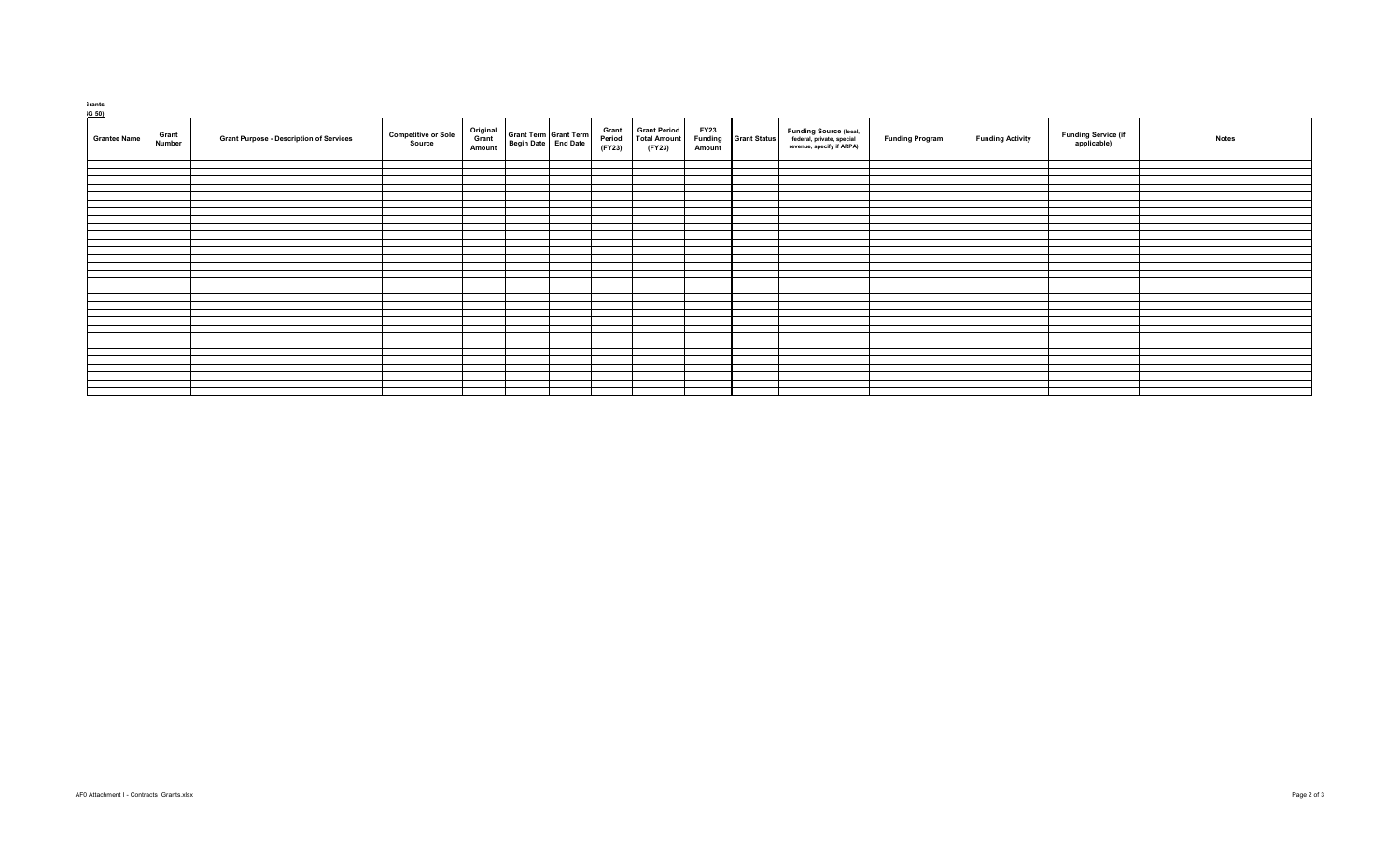## **Grants**

| <b>Grant</b><br><b>Grantee Name</b><br><b>Number</b> | <b>Grant Purpose - Description of Services</b> | <b>Competitive or Sole</b><br>Source | Original<br>Grant<br><b>Amount</b> | Grant Term Grant Term<br>Begin Date   End Date | <b>Grant</b><br><b>Period</b><br>(FY23) | <b>Grant Period</b><br><b>Total Amount</b><br>(FY23) | <b>FY23</b><br><b>Funding</b><br><b>Amount</b> | <b>Grant Status</b> | <b>Funding Source (local,</b><br>federal, private, special<br>revenue, specify if ARPA) | <b>Funding Program</b> | <b>Funding Activity</b> | <b>Funding Service (if</b><br>applicable) | <b>Notes</b> |
|------------------------------------------------------|------------------------------------------------|--------------------------------------|------------------------------------|------------------------------------------------|-----------------------------------------|------------------------------------------------------|------------------------------------------------|---------------------|-----------------------------------------------------------------------------------------|------------------------|-------------------------|-------------------------------------------|--------------|
|                                                      |                                                |                                      |                                    |                                                |                                         |                                                      |                                                |                     |                                                                                         |                        |                         |                                           |              |
|                                                      |                                                |                                      |                                    |                                                |                                         |                                                      |                                                |                     |                                                                                         |                        |                         |                                           |              |
|                                                      |                                                |                                      |                                    |                                                |                                         |                                                      |                                                |                     |                                                                                         |                        |                         |                                           |              |
|                                                      |                                                |                                      |                                    |                                                |                                         |                                                      |                                                |                     |                                                                                         |                        |                         |                                           |              |
|                                                      |                                                |                                      |                                    |                                                |                                         |                                                      |                                                |                     |                                                                                         |                        |                         |                                           |              |
|                                                      |                                                |                                      |                                    |                                                |                                         |                                                      |                                                |                     |                                                                                         |                        |                         |                                           |              |
|                                                      |                                                |                                      |                                    |                                                |                                         |                                                      |                                                |                     |                                                                                         |                        |                         |                                           |              |
|                                                      |                                                |                                      |                                    |                                                |                                         |                                                      |                                                |                     |                                                                                         |                        |                         |                                           |              |
|                                                      |                                                |                                      |                                    |                                                |                                         |                                                      |                                                |                     |                                                                                         |                        |                         |                                           |              |
|                                                      |                                                |                                      |                                    |                                                |                                         |                                                      |                                                |                     |                                                                                         |                        |                         |                                           |              |
|                                                      |                                                |                                      |                                    |                                                |                                         |                                                      |                                                |                     |                                                                                         |                        |                         |                                           |              |
|                                                      |                                                |                                      |                                    |                                                |                                         |                                                      |                                                |                     |                                                                                         |                        |                         |                                           |              |
|                                                      |                                                |                                      |                                    |                                                |                                         |                                                      |                                                |                     |                                                                                         |                        |                         |                                           |              |
|                                                      |                                                |                                      |                                    |                                                |                                         |                                                      |                                                |                     |                                                                                         |                        |                         |                                           |              |
|                                                      |                                                |                                      |                                    |                                                |                                         |                                                      |                                                |                     |                                                                                         |                        |                         |                                           |              |
|                                                      |                                                |                                      |                                    |                                                |                                         |                                                      |                                                |                     |                                                                                         |                        |                         |                                           |              |
|                                                      |                                                |                                      |                                    |                                                |                                         |                                                      |                                                |                     |                                                                                         |                        |                         |                                           |              |
|                                                      |                                                |                                      |                                    |                                                |                                         |                                                      |                                                |                     |                                                                                         |                        |                         |                                           |              |
|                                                      |                                                |                                      |                                    |                                                |                                         |                                                      |                                                |                     |                                                                                         |                        |                         |                                           |              |
|                                                      |                                                |                                      |                                    |                                                |                                         |                                                      |                                                |                     |                                                                                         |                        |                         |                                           |              |
|                                                      |                                                |                                      |                                    |                                                |                                         |                                                      |                                                |                     |                                                                                         |                        |                         |                                           |              |
|                                                      |                                                |                                      |                                    |                                                |                                         |                                                      |                                                |                     |                                                                                         |                        |                         |                                           |              |
|                                                      |                                                |                                      |                                    |                                                |                                         |                                                      |                                                |                     |                                                                                         |                        |                         |                                           |              |
|                                                      |                                                |                                      |                                    |                                                |                                         |                                                      |                                                |                     |                                                                                         |                        |                         |                                           |              |
|                                                      |                                                |                                      |                                    |                                                |                                         |                                                      |                                                |                     |                                                                                         |                        |                         |                                           |              |
|                                                      |                                                |                                      |                                    |                                                |                                         |                                                      |                                                |                     |                                                                                         |                        |                         |                                           |              |
|                                                      |                                                |                                      |                                    |                                                |                                         |                                                      |                                                |                     |                                                                                         |                        |                         |                                           |              |